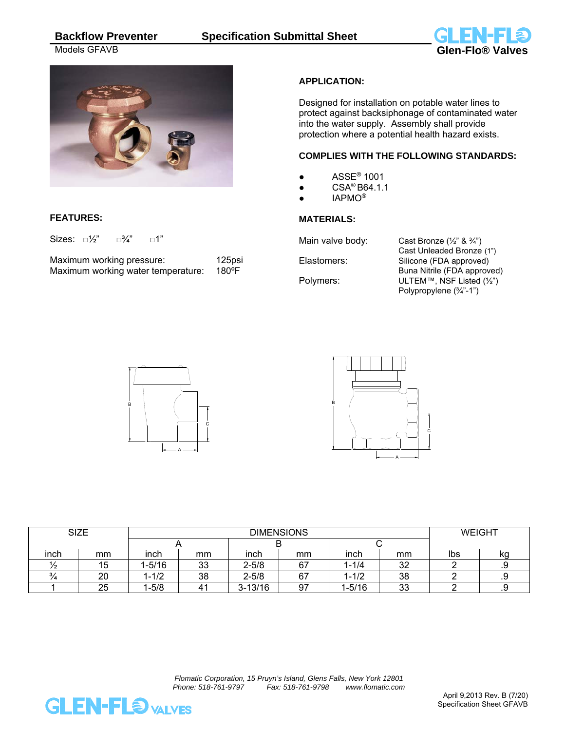



# **FEATURES:**

Sizes:  $\square\frac{1}{2}$ "  $\square\frac{3}{4}$ "  $\square$ 1"

| Maximum working pressure:          | 125psi |
|------------------------------------|--------|
| Maximum working water temperature: | 180°F  |

## **APPLICATION:**

Designed for installation on potable water lines to protect against backsiphonage of contaminated water into the water supply. Assembly shall provide protection where a potential health hazard exists.

#### **COMPLIES WITH THE FOLLOWING STANDARDS:**

- $\bullet$  ASSE<sup>®</sup> 1001
- $\bullet$  CSA<sup>®</sup> B64.1.1
- IAPMO®

## **MATERIALS:**

Main valve body: Cast Bronze  $(\frac{1}{2}$ " &  $\frac{3}{4}$ ")

 Cast Unleaded Bronze (1") Elastomers: Silicone (FDA approved) Buna Nitrile (FDA approved) Polymers: ULTEM™, NSF Listed (½") Polypropylene (¾"-1")





| <b>SIZE</b>   |    | <b>DIMENSIONS</b> |    |             |    |           |    | <b>WEIGHT</b> |     |
|---------------|----|-------------------|----|-------------|----|-----------|----|---------------|-----|
|               |    |                   |    |             |    |           |    |               |     |
| inch          | mm | inch              | mm | inch        | mm | inch      | mm | Ibs           | ka  |
| $^{\prime}$ 2 | 15 | $1 - 5/16$        | 33 | $2 - 5/8$   | 67 | 1-1/4     | 32 |               | . ب |
| $\frac{3}{4}$ | 20 | $-1/2$            | 38 | $2 - 5/8$   | 67 | $1 - 1/2$ | 38 |               | . ب |
|               | 25 | $-5/8$            | 41 | $3 - 13/16$ | 97 | 1-5/16    | 33 |               | . ب |